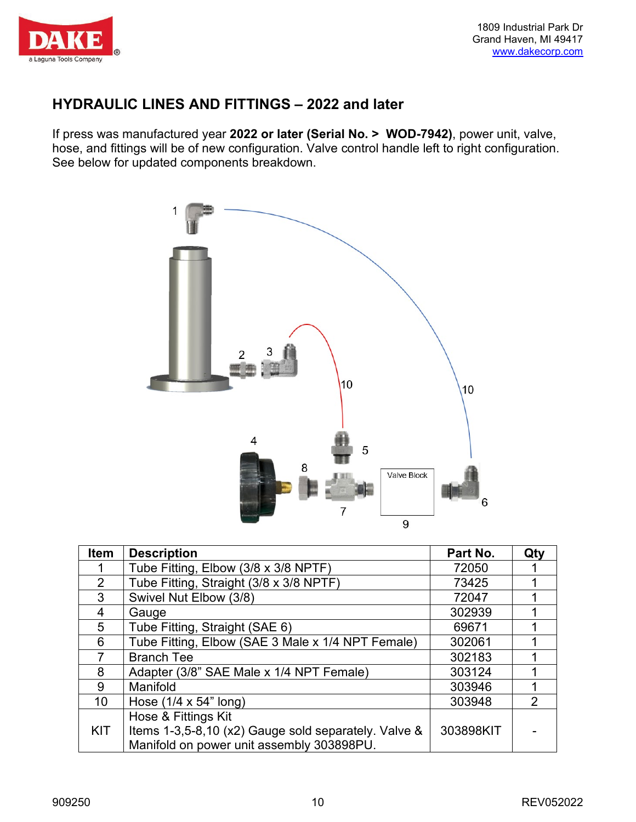

#### **HYDRAULIC LINES AND FITTINGS – 2022 and later**

If press was manufactured year **2022 or later (Serial No. > WOD-7942)**, power unit, valve, hose, and fittings will be of new configuration. Valve control handle left to right configuration. See below for updated components breakdown.



| Item       | <b>Description</b>                                   | Part No.  | Qty           |
|------------|------------------------------------------------------|-----------|---------------|
|            | Tube Fitting, Elbow (3/8 x 3/8 NPTF)                 | 72050     |               |
| 2          | Tube Fitting, Straight (3/8 x 3/8 NPTF)              | 73425     |               |
| 3          | Swivel Nut Elbow (3/8)                               | 72047     |               |
| 4          | Gauge                                                | 302939    |               |
| 5          | Tube Fitting, Straight (SAE 6)                       | 69671     |               |
| 6          | Tube Fitting, Elbow (SAE 3 Male x 1/4 NPT Female)    | 302061    |               |
|            | <b>Branch Tee</b>                                    | 302183    |               |
| 8          | Adapter (3/8" SAE Male x 1/4 NPT Female)             | 303124    |               |
| 9          | Manifold                                             | 303946    |               |
| 10         | Hose $(1/4 \times 54$ " long)                        | 303948    | $\mathcal{P}$ |
|            | Hose & Fittings Kit                                  |           |               |
| <b>KIT</b> | Items 1-3,5-8,10 (x2) Gauge sold separately. Valve & | 303898KIT |               |
|            | Manifold on power unit assembly 303898PU.            |           |               |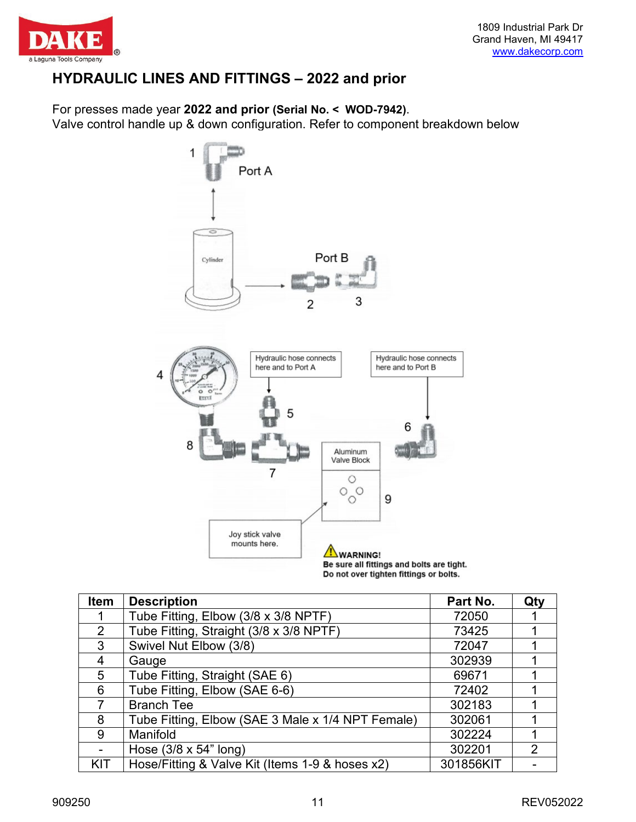

### **HYDRAULIC LINES AND FITTINGS – 2022 and prior**

For presses made year **2022 and prior (Serial No. < WOD-7942)**.

Valve control handle up & down configuration. Refer to component breakdown below



Do not over tighten fittings or bolts.

| <b>Item</b>    | <b>Description</b>                                | Part No.  | Qty |
|----------------|---------------------------------------------------|-----------|-----|
|                | Tube Fitting, Elbow (3/8 x 3/8 NPTF)              | 72050     |     |
| $\overline{2}$ | Tube Fitting, Straight (3/8 x 3/8 NPTF)           | 73425     |     |
| $\mathbf{3}$   | Swivel Nut Elbow (3/8)                            | 72047     |     |
| 4              | Gauge                                             | 302939    |     |
| 5              | Tube Fitting, Straight (SAE 6)                    | 69671     |     |
| 6              | Tube Fitting, Elbow (SAE 6-6)                     | 72402     |     |
|                | <b>Branch Tee</b>                                 | 302183    |     |
| 8              | Tube Fitting, Elbow (SAE 3 Male x 1/4 NPT Female) | 302061    |     |
| 9              | Manifold                                          | 302224    |     |
|                | Hose $(3/8 \times 54$ " long)                     | 302201    | 2   |
| KIT            | Hose/Fitting & Valve Kit (Items 1-9 & hoses x2)   | 301856KIT |     |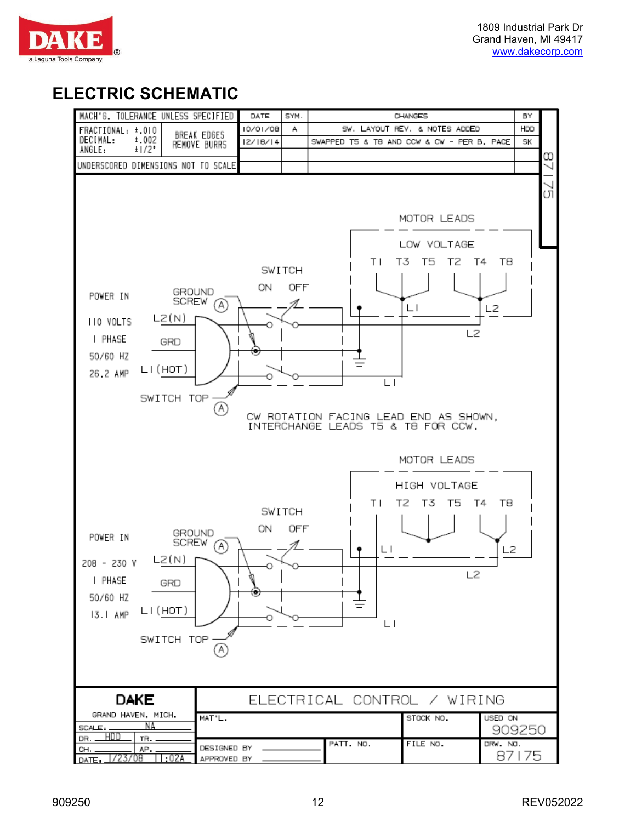

# **ELECTRIC SCHEMATIC**

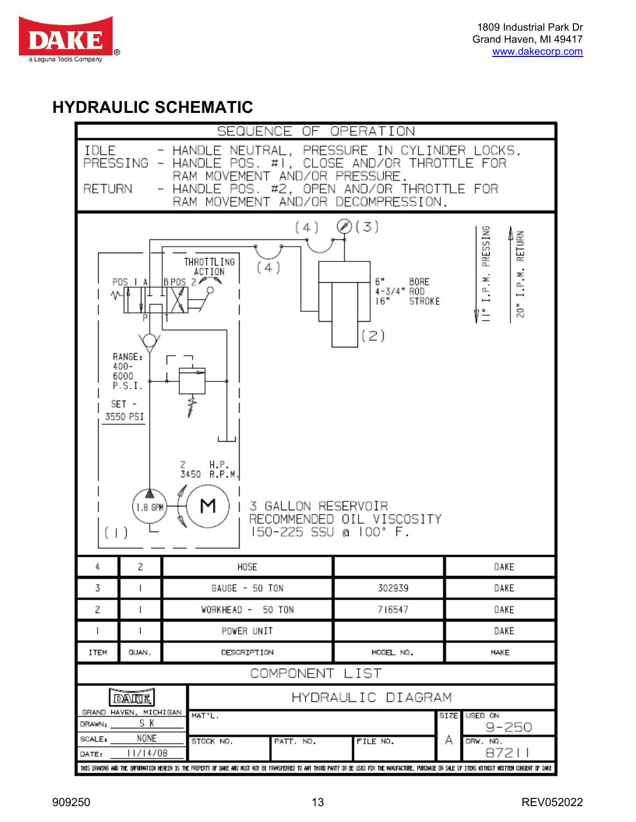

## **HYDRAULIC SCHEMATIC**

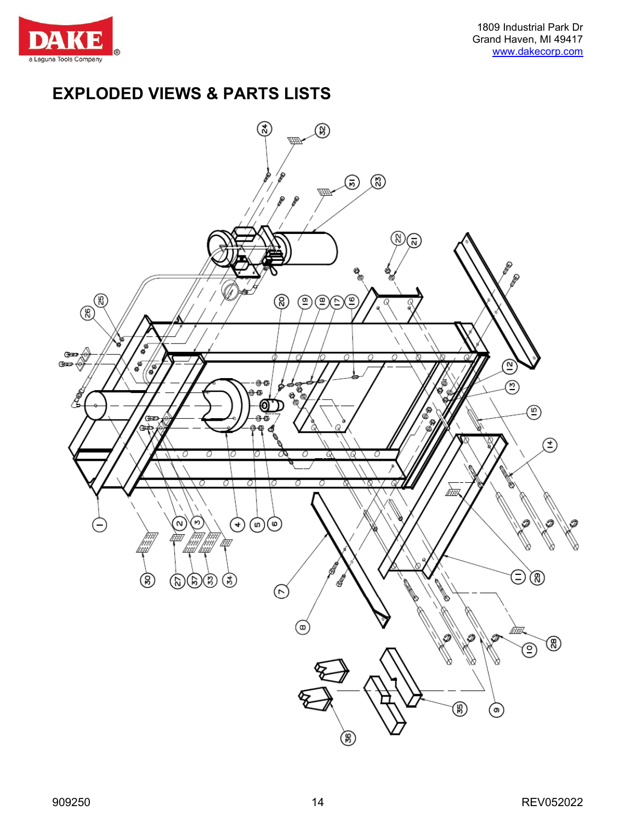

## **EXPLODED VIEWS & PARTS LISTS**

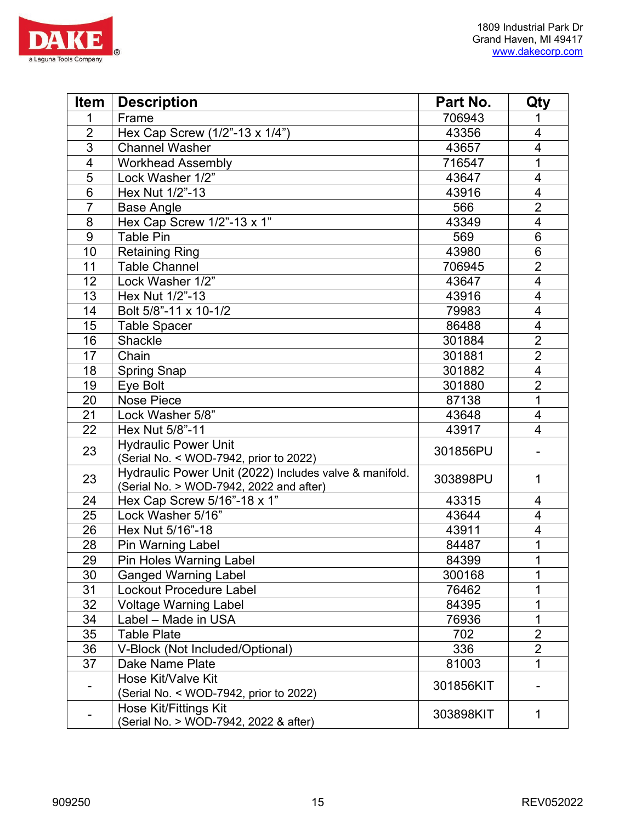

| <b>Item</b>    | <b>Description</b>                                                                                | Part No.  | Qty                      |
|----------------|---------------------------------------------------------------------------------------------------|-----------|--------------------------|
| 1              | Frame                                                                                             | 706943    |                          |
| $\overline{2}$ | Hex Cap Screw (1/2"-13 x 1/4")                                                                    | 43356     | $\overline{4}$           |
| 3              | <b>Channel Washer</b>                                                                             | 43657     | $\overline{\mathbf{4}}$  |
| $\overline{4}$ | <b>Workhead Assembly</b>                                                                          | 716547    | 1                        |
| 5              | Lock Washer 1/2"                                                                                  | 43647     | 4                        |
| 6              | Hex Nut 1/2"-13                                                                                   | 43916     | $\overline{4}$           |
| $\overline{7}$ | <b>Base Angle</b>                                                                                 | 566       | $\overline{2}$           |
| 8              | Hex Cap Screw 1/2"-13 x 1"                                                                        | 43349     | $\overline{4}$           |
| 9              | <b>Table Pin</b>                                                                                  | 569       | 6                        |
| 10             | <b>Retaining Ring</b>                                                                             | 43980     | $6\phantom{1}$           |
| 11             | <b>Table Channel</b>                                                                              | 706945    | $\overline{2}$           |
| 12             | Lock Washer 1/2"                                                                                  | 43647     | $\overline{\mathcal{A}}$ |
| 13             | Hex Nut 1/2"-13                                                                                   | 43916     | $\overline{4}$           |
| 14             | Bolt 5/8"-11 x 10-1/2                                                                             | 79983     | 4                        |
| 15             | <b>Table Spacer</b>                                                                               | 86488     | $\overline{\mathbf{4}}$  |
| 16             | Shackle                                                                                           | 301884    | $\overline{2}$           |
| 17             | Chain                                                                                             | 301881    | $\overline{2}$           |
| 18             | <b>Spring Snap</b>                                                                                | 301882    | $\overline{\mathbf{4}}$  |
| 19             | Eye Bolt                                                                                          | 301880    | $\overline{2}$           |
| 20             | <b>Nose Piece</b>                                                                                 | 87138     | $\mathbf{1}$             |
| 21             | Lock Washer 5/8"                                                                                  | 43648     | 4                        |
| 22             | Hex Nut 5/8"-11                                                                                   | 43917     | 4                        |
| 23             | <b>Hydraulic Power Unit</b><br>(Serial No. < WOD-7942, prior to 2022)                             | 301856PU  |                          |
| 23             | Hydraulic Power Unit (2022) Includes valve & manifold.<br>(Serial No. > WOD-7942, 2022 and after) | 303898PU  | 1                        |
| 24             | Hex Cap Screw 5/16"-18 x 1"                                                                       | 43315     | 4                        |
| 25             | Lock Washer 5/16"                                                                                 | 43644     | 4                        |
| 26             | Hex Nut 5/16"-18                                                                                  | 43911     | $\overline{\mathbf{4}}$  |
| 28             | <b>Pin Warning Label</b>                                                                          | 84487     | 1                        |
| 29             | Pin Holes Warning Label                                                                           | 84399     | 1                        |
| 30             | <b>Ganged Warning Label</b>                                                                       | 300168    | 1                        |
| 31             | Lockout Procedure Label                                                                           | 76462     | 1                        |
| 32             | <b>Voltage Warning Label</b>                                                                      | 84395     | 1                        |
| 34             | Label - Made in USA                                                                               | 76936     | 1                        |
| 35             | <b>Table Plate</b>                                                                                | 702       | $\overline{2}$           |
| 36             | V-Block (Not Included/Optional)                                                                   | 336       | $\overline{2}$           |
| 37             | Dake Name Plate                                                                                   | 81003     | 1                        |
|                | Hose Kit/Valve Kit                                                                                | 301856KIT |                          |
|                | (Serial No. < WOD-7942, prior to 2022)                                                            |           |                          |
|                | <b>Hose Kit/Fittings Kit</b><br>(Serial No. > WOD-7942, 2022 & after)                             | 303898KIT | 1                        |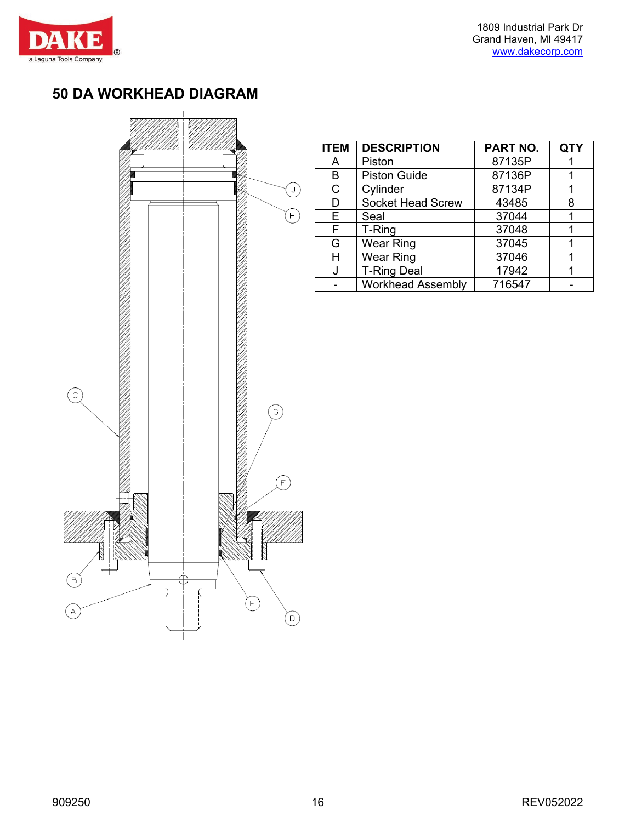

### **50 DA WORKHEAD DIAGRAM**



| <b>ITEM</b> | <b>DESCRIPTION</b>       | PART NO. | QTY |
|-------------|--------------------------|----------|-----|
| Α           | Piston                   | 87135P   |     |
| в           | <b>Piston Guide</b>      | 87136P   |     |
| C           | Cylinder                 | 87134P   |     |
| D           | <b>Socket Head Screw</b> | 43485    | 8   |
| Е           | Seal                     | 37044    |     |
| F           | T-Ring                   | 37048    |     |
| G           | <b>Wear Ring</b>         | 37045    |     |
| н           | Wear Ring                | 37046    |     |
|             | <b>T-Ring Deal</b>       | 17942    |     |
|             | <b>Workhead Assembly</b> | 716547   |     |